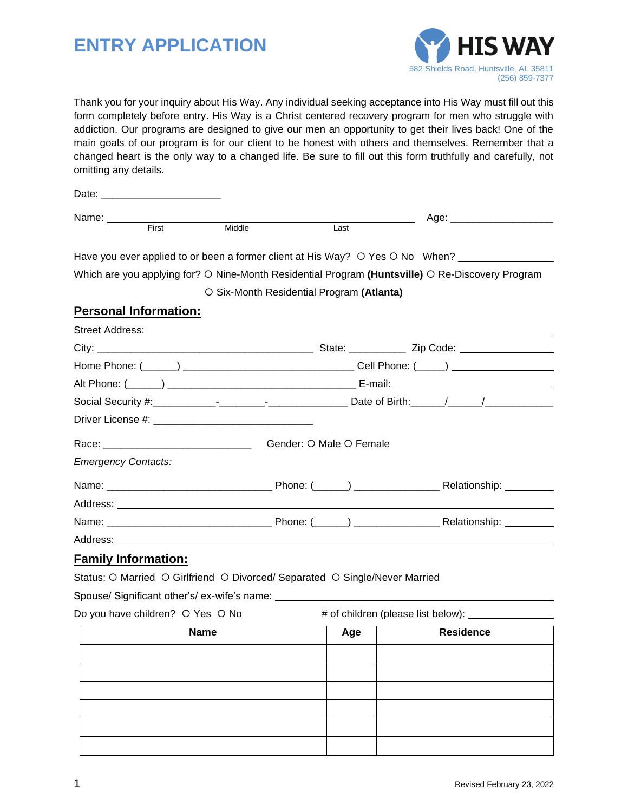# **ENTRY APPLICATION**



Thank you for your inquiry about His Way. Any individual seeking acceptance into His Way must fill out this form completely before entry. His Way is a Christ centered recovery program for men who struggle with addiction. Our programs are designed to give our men an opportunity to get their lives back! One of the main goals of our program is for our client to be honest with others and themselves. Remember that a changed heart is the only way to a changed life. Be sure to fill out this form truthfully and carefully, not omitting any details.

| Date:                |       |        |      |                       |  |
|----------------------|-------|--------|------|-----------------------|--|
| <b>Name</b><br>סוווס |       |        |      | $\sim$ $\sim$<br>Aut. |  |
|                      | First | Middle | Last |                       |  |

Have you ever applied to or been a former client at His Way?  $\circ$  Yes  $\circ$  No When?

Which are you applying for? O Nine-Month Residential Program (Huntsville) O Re-Discovery Program

#### O Six-Month Residential Program (Atlanta)

### **Personal Information:**

Street Address:

|                                                                             | Gender: O Male O Female |  |  |
|-----------------------------------------------------------------------------|-------------------------|--|--|
| <b>Emergency Contacts:</b>                                                  |                         |  |  |
|                                                                             |                         |  |  |
|                                                                             |                         |  |  |
|                                                                             |                         |  |  |
|                                                                             |                         |  |  |
| <b>Family Information:</b>                                                  |                         |  |  |
| Status: O Married O Girlfriend O Divorced/ Separated O Single/Never Married |                         |  |  |

Spouse/ Significant other's/ ex-wife's name:

Do you have children? O Yes O No # of children (please list below): \_\_\_\_\_\_\_\_

| <b>Name</b> | Age | <b>Residence</b> |
|-------------|-----|------------------|
|             |     |                  |
|             |     |                  |
|             |     |                  |
|             |     |                  |
|             |     |                  |
|             |     |                  |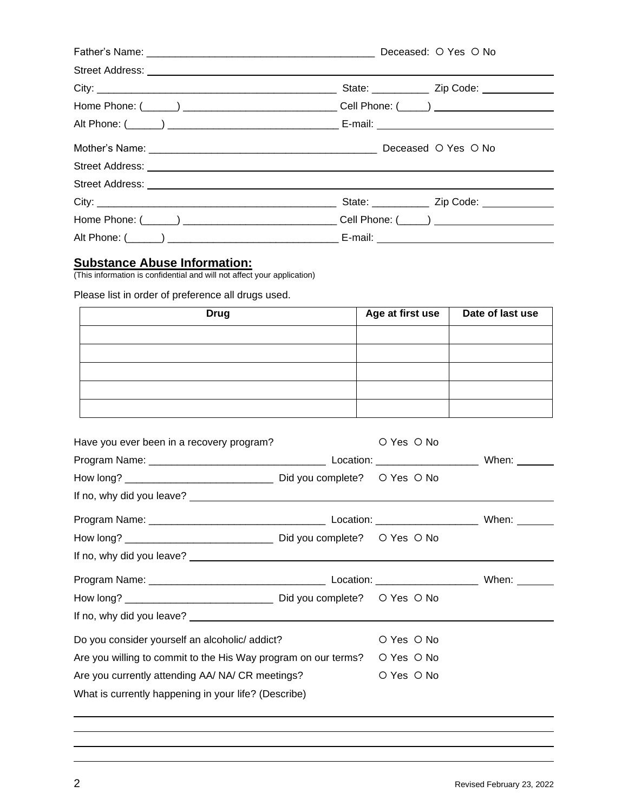| Street Address: <u>New York Street Address:</u> |                                                   |
|-------------------------------------------------|---------------------------------------------------|
|                                                 |                                                   |
|                                                 |                                                   |
|                                                 |                                                   |
|                                                 |                                                   |
|                                                 |                                                   |
|                                                 |                                                   |
|                                                 | State: ________________ Zip Code: _______________ |
|                                                 |                                                   |
|                                                 |                                                   |

#### **Substance Abuse Information:**

(This information is confidential and will not affect your application)

Please list in order of preference all drugs used.

| <b>Drug</b> | Age at first use | Date of last use |
|-------------|------------------|------------------|
|             |                  |                  |
|             |                  |                  |
|             |                  |                  |
|             |                  |                  |
|             |                  |                  |

| Have you ever been in a recovery program?                      |  | O Yes O No |  |
|----------------------------------------------------------------|--|------------|--|
|                                                                |  |            |  |
|                                                                |  |            |  |
|                                                                |  |            |  |
|                                                                |  |            |  |
|                                                                |  |            |  |
|                                                                |  |            |  |
|                                                                |  |            |  |
|                                                                |  |            |  |
|                                                                |  |            |  |
| Do you consider yourself an alcoholic/ addict?                 |  | O Yes O No |  |
| Are you willing to commit to the His Way program on our terms? |  | O Yes O No |  |
| Are you currently attending AA/ NA/ CR meetings?               |  | O Yes O No |  |
| What is currently happening in your life? (Describe)           |  |            |  |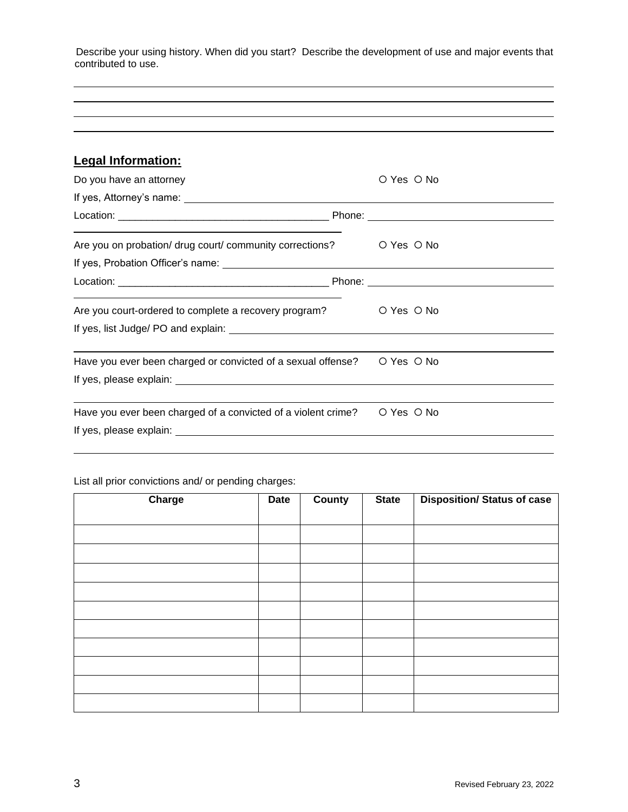Describe your using history. When did you start? Describe the development of use and major events that contributed to use.

## **Legal Information:**

| Do you have an attorney                                                                                                                                                       | O Yes O No |
|-------------------------------------------------------------------------------------------------------------------------------------------------------------------------------|------------|
|                                                                                                                                                                               |            |
|                                                                                                                                                                               |            |
| Are you on probation/ drug court/ community corrections? $\bigcirc$ Yes $\bigcirc$ No                                                                                         |            |
|                                                                                                                                                                               |            |
| <u> 1989 - Andrea Santa Andrea Andrea Andrea Andrea Andrea Andrea Andrea Andrea Andrea Andrea Andrea Andrea Andr</u><br>Are you court-ordered to complete a recovery program? | O Yes O No |
| Have you ever been charged or convicted of a sexual offense? $\bigcirc$ Yes $\bigcirc$ No                                                                                     |            |
| Have you ever been charged of a convicted of a violent crime?                                                                                                                 | O Yes O No |
|                                                                                                                                                                               |            |

## List all prior convictions and/ or pending charges:

| Charge | <b>Date</b> | <b>County</b> | <b>State</b> | <b>Disposition/ Status of case</b> |
|--------|-------------|---------------|--------------|------------------------------------|
|        |             |               |              |                                    |
|        |             |               |              |                                    |
|        |             |               |              |                                    |
|        |             |               |              |                                    |
|        |             |               |              |                                    |
|        |             |               |              |                                    |
|        |             |               |              |                                    |
|        |             |               |              |                                    |
|        |             |               |              |                                    |
|        |             |               |              |                                    |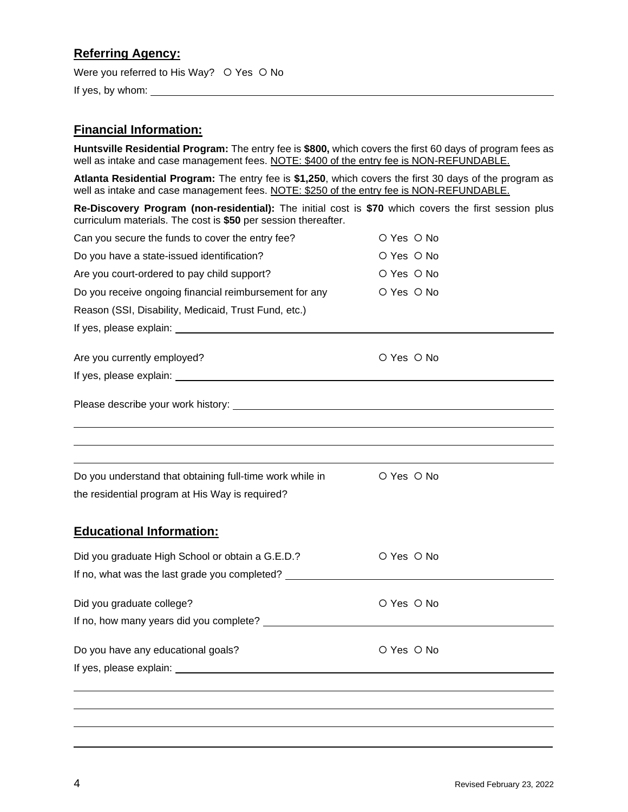## **Referring Agency:**

Were you referred to His Way?  $\circ$  Yes  $\circ$  No

If yes, by whom:  $\sqrt{2\pi}$  is the set of the set of the set of the set of the set of the set of the set of the set of the set of the set of the set of the set of the set of the set of the set of the set of the set of the s

## **Financial Information:**

**Huntsville Residential Program:** The entry fee is **\$800,** which covers the first 60 days of program fees as well as intake and case management fees. NOTE: \$400 of the entry fee is NON-REFUNDABLE.

**Atlanta Residential Program:** The entry fee is **\$1,250**, which covers the first 30 days of the program as well as intake and case management fees. NOTE: \$250 of the entry fee is NON-REFUNDABLE.

**Re-Discovery Program (non-residential):** The initial cost is **\$70** which covers the first session plus curriculum materials. The cost is **\$50** per session thereafter.

| Can you secure the funds to cover the entry fee?         | O Yes O No |  |
|----------------------------------------------------------|------------|--|
| Do you have a state-issued identification?               | O Yes O No |  |
| Are you court-ordered to pay child support?              | O Yes O No |  |
| Do you receive ongoing financial reimbursement for any   | O Yes O No |  |
| Reason (SSI, Disability, Medicaid, Trust Fund, etc.)     |            |  |
|                                                          |            |  |
| Are you currently employed?                              | O Yes O No |  |
|                                                          |            |  |
|                                                          |            |  |
|                                                          |            |  |
|                                                          |            |  |
|                                                          |            |  |
| Do you understand that obtaining full-time work while in | O Yes O No |  |
| the residential program at His Way is required?          |            |  |
|                                                          |            |  |
| <b>Educational Information:</b>                          |            |  |
| Did you graduate High School or obtain a G.E.D.?         | O Yes O No |  |
| If no, what was the last grade you completed?            |            |  |
| Did you graduate college?                                | O Yes O No |  |
|                                                          |            |  |
| Do you have any educational goals?                       | O Yes O No |  |
|                                                          |            |  |
|                                                          |            |  |
|                                                          |            |  |
|                                                          |            |  |
|                                                          |            |  |

\_\_\_\_\_\_\_\_\_\_\_\_\_\_\_\_\_\_\_\_\_\_\_\_\_\_\_\_\_\_\_\_\_\_\_\_\_\_\_\_\_\_\_\_\_\_\_\_\_\_\_\_\_\_\_\_\_\_\_\_\_\_\_\_\_\_\_\_\_\_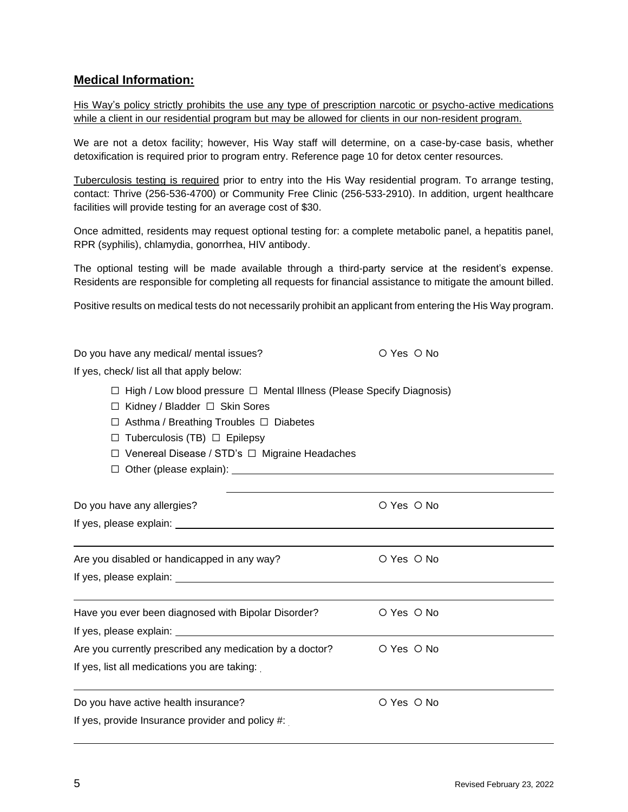## **Medical Information:**

His Way's policy strictly prohibits the use any type of prescription narcotic or psycho-active medications while a client in our residential program but may be allowed for clients in our non-resident program.

We are not a detox facility; however, His Way staff will determine, on a case-by-case basis, whether detoxification is required prior to program entry. Reference page 10 for detox center resources.

Tuberculosis testing is required prior to entry into the His Way residential program. To arrange testing, contact: Thrive (256-536-4700) or Community Free Clinic (256-533-2910). In addition, urgent healthcare facilities will provide testing for an average cost of \$30.

Once admitted, residents may request optional testing for: a complete metabolic panel, a hepatitis panel, RPR (syphilis), chlamydia, gonorrhea, HIV antibody.

The optional testing will be made available through a third-party service at the resident's expense. Residents are responsible for completing all requests for financial assistance to mitigate the amount billed.

Positive results on medical tests do not necessarily prohibit an applicant from entering the His Way program.

| Do you have any medical/ mental issues?                                                                                                                                                                                                                            | O Yes O No |  |  |  |  |  |
|--------------------------------------------------------------------------------------------------------------------------------------------------------------------------------------------------------------------------------------------------------------------|------------|--|--|--|--|--|
| If yes, check/list all that apply below:                                                                                                                                                                                                                           |            |  |  |  |  |  |
| $\Box$ High / Low blood pressure $\Box$ Mental Illness (Please Specify Diagnosis)<br>Kidney / Bladder □ Skin Sores<br>LΙ<br>Asthma / Breathing Troubles □ Diabetes<br>ப<br>Tuberculosis (TB) $\Box$ Epilepsy<br>□<br>Venereal Disease / STD's □ Migraine Headaches |            |  |  |  |  |  |
| Do you have any allergies?                                                                                                                                                                                                                                         | O Yes O No |  |  |  |  |  |
|                                                                                                                                                                                                                                                                    |            |  |  |  |  |  |
| Are you disabled or handicapped in any way?                                                                                                                                                                                                                        | O Yes O No |  |  |  |  |  |
|                                                                                                                                                                                                                                                                    |            |  |  |  |  |  |
| Have you ever been diagnosed with Bipolar Disorder?                                                                                                                                                                                                                | O Yes O No |  |  |  |  |  |
| Are you currently prescribed any medication by a doctor?                                                                                                                                                                                                           | O Yes O No |  |  |  |  |  |
| If yes, list all medications you are taking:                                                                                                                                                                                                                       |            |  |  |  |  |  |
| Do you have active health insurance?                                                                                                                                                                                                                               | O Yes O No |  |  |  |  |  |
| If yes, provide Insurance provider and policy #:                                                                                                                                                                                                                   |            |  |  |  |  |  |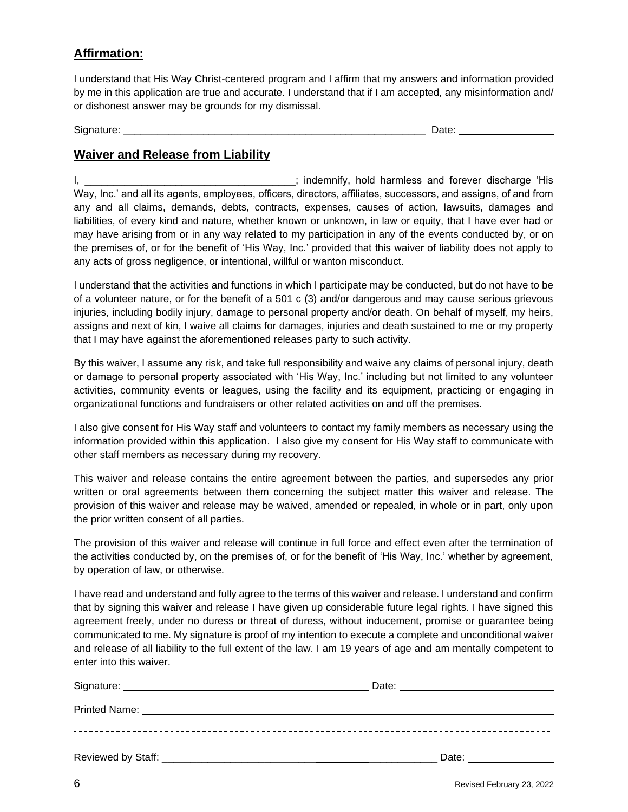## **Affirmation:**

I understand that His Way Christ-centered program and I affirm that my answers and information provided by me in this application are true and accurate. I understand that if I am accepted, any misinformation and/ or dishonest answer may be grounds for my dismissal.

Signature: \_\_\_\_\_\_\_\_\_\_\_\_\_\_\_\_\_\_\_\_\_\_\_\_\_\_\_\_\_\_\_\_\_\_\_\_\_\_\_\_\_\_\_\_\_\_\_\_\_\_\_\_\_ Date:

## **Waiver and Release from Liability**

I, \_\_\_\_\_\_\_\_\_\_\_\_\_\_\_\_\_\_\_\_\_\_\_\_\_\_\_\_\_\_\_\_\_; indemnify, hold harmless and forever discharge 'His Way, Inc.' and all its agents, employees, officers, directors, affiliates, successors, and assigns, of and from any and all claims, demands, debts, contracts, expenses, causes of action, lawsuits, damages and liabilities, of every kind and nature, whether known or unknown, in law or equity, that I have ever had or may have arising from or in any way related to my participation in any of the events conducted by, or on the premises of, or for the benefit of 'His Way, Inc.' provided that this waiver of liability does not apply to any acts of gross negligence, or intentional, willful or wanton misconduct.

I understand that the activities and functions in which I participate may be conducted, but do not have to be of a volunteer nature, or for the benefit of a 501 c (3) and/or dangerous and may cause serious grievous injuries, including bodily injury, damage to personal property and/or death. On behalf of myself, my heirs, assigns and next of kin, I waive all claims for damages, injuries and death sustained to me or my property that I may have against the aforementioned releases party to such activity.

By this waiver, I assume any risk, and take full responsibility and waive any claims of personal injury, death or damage to personal property associated with 'His Way, Inc.' including but not limited to any volunteer activities, community events or leagues, using the facility and its equipment, practicing or engaging in organizational functions and fundraisers or other related activities on and off the premises.

I also give consent for His Way staff and volunteers to contact my family members as necessary using the information provided within this application. I also give my consent for His Way staff to communicate with other staff members as necessary during my recovery.

This waiver and release contains the entire agreement between the parties, and supersedes any prior written or oral agreements between them concerning the subject matter this waiver and release. The provision of this waiver and release may be waived, amended or repealed, in whole or in part, only upon the prior written consent of all parties.

The provision of this waiver and release will continue in full force and effect even after the termination of the activities conducted by, on the premises of, or for the benefit of 'His Way, Inc.' whether by agreement, by operation of law, or otherwise.

I have read and understand and fully agree to the terms of this waiver and release. I understand and confirm that by signing this waiver and release I have given up considerable future legal rights. I have signed this agreement freely, under no duress or threat of duress, without inducement, promise or guarantee being communicated to me. My signature is proof of my intention to execute a complete and unconditional waiver and release of all liability to the full extent of the law. I am 19 years of age and am mentally competent to enter into this waiver.

| Printed Name: Name: Name: Name: Name: Name: Name: Name: Name: Name: Name: Name: Name: Name: Name: Name: Name: Name: Name: Name: Name: Name: Name: Name: Name: Name: Name: Name: Name: Name: Name: Name: Name: Name: Name: Name |                                                                                                                                                                                                                                |
|--------------------------------------------------------------------------------------------------------------------------------------------------------------------------------------------------------------------------------|--------------------------------------------------------------------------------------------------------------------------------------------------------------------------------------------------------------------------------|
|                                                                                                                                                                                                                                |                                                                                                                                                                                                                                |
|                                                                                                                                                                                                                                | Date: the contract of the contract of the contract of the contract of the contract of the contract of the contract of the contract of the contract of the contract of the contract of the contract of the contract of the cont |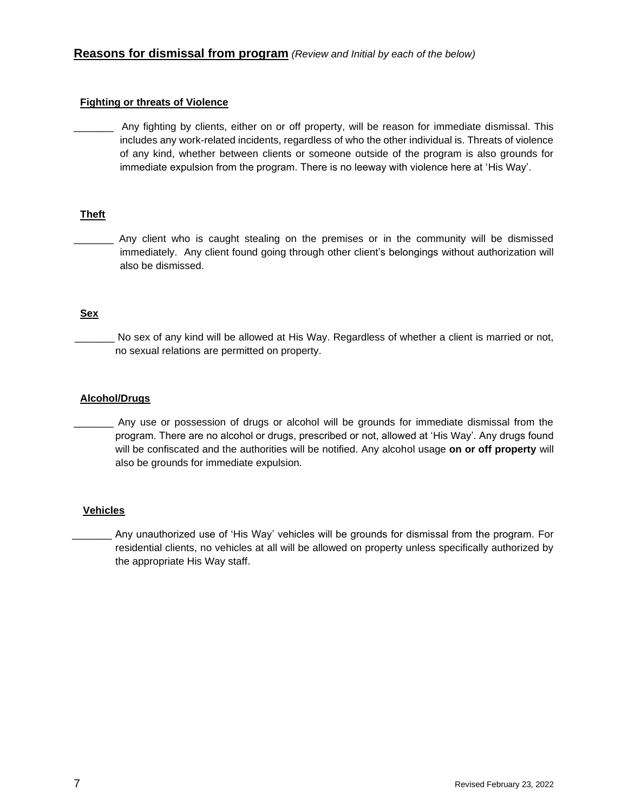#### **Fighting or threats of Violence**

Any fighting by clients, either on or off property, will be reason for immediate dismissal. This includes any work-related incidents, regardless of who the other individual is. Threats of violence of any kind, whether between clients or someone outside of the program is also grounds for immediate expulsion from the program. There is no leeway with violence here at 'His Way'.

#### **Theft**

Any client who is caught stealing on the premises or in the community will be dismissed immediately. Any client found going through other client's belongings without authorization will also be dismissed.

#### **Sex**

No sex of any kind will be allowed at His Way. Regardless of whether a client is married or not, no sexual relations are permitted on property.

#### **Alcohol/Drugs**

\_\_\_\_\_\_\_ Any use or possession of drugs or alcohol will be grounds for immediate dismissal from the program. There are no alcohol or drugs, prescribed or not, allowed at 'His Way'. Any drugs found will be confiscated and the authorities will be notified. Any alcohol usage **on or off property** will also be grounds for immediate expulsion.

#### **Vehicles**

Any unauthorized use of 'His Way' vehicles will be grounds for dismissal from the program. For residential clients, no vehicles at all will be allowed on property unless specifically authorized by the appropriate His Way staff.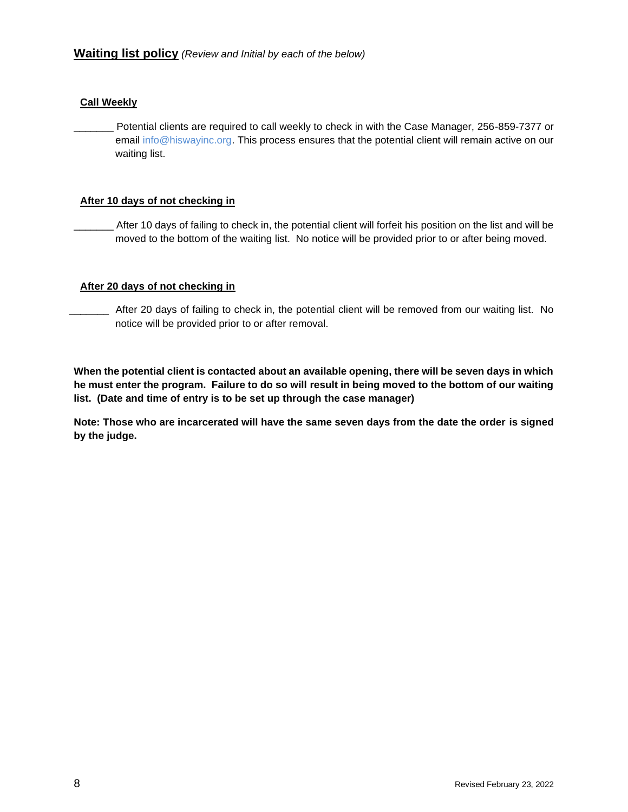#### **Call Weekly**

Potential clients are required to call weekly to check in with the Case Manager, 256-859-7377 or email info@hiswayinc.org. This process ensures that the potential client will remain active on our waiting list.

#### **After 10 days of not checking in**

After 10 days of failing to check in, the potential client will forfeit his position on the list and will be moved to the bottom of the waiting list. No notice will be provided prior to or after being moved.

#### **After 20 days of not checking in**

\_\_\_\_\_\_\_ After 20 days of failing to check in, the potential client will be removed from our waiting list. No notice will be provided prior to or after removal.

**When the potential client is contacted about an available opening, there will be seven days in which he must enter the program. Failure to do so will result in being moved to the bottom of our waiting list. (Date and time of entry is to be set up through the case manager)** 

**Note: Those who are incarcerated will have the same seven days from the date the order is signed by the judge.**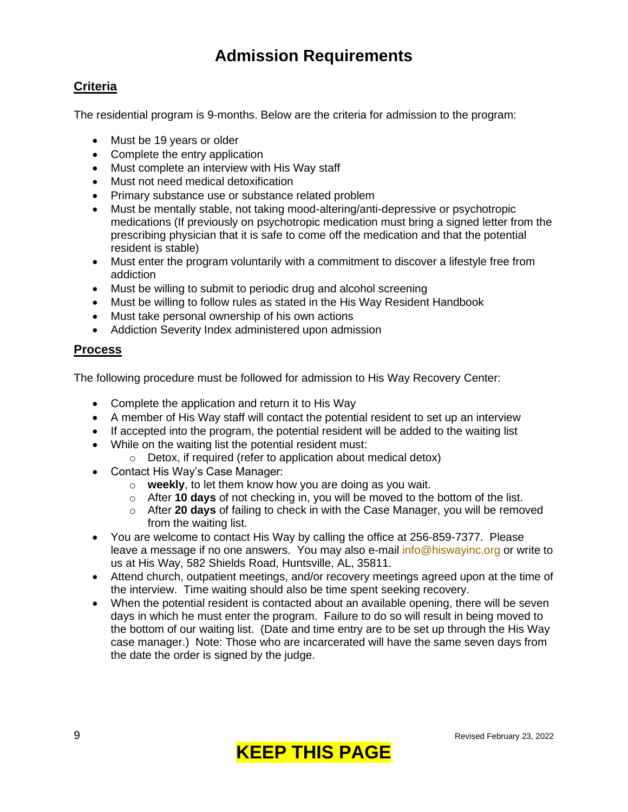## **Admission Requirements**

## **Criteria**

The residential program is 9-months. Below are the criteria for admission to the program:

- Must be 19 years or older
- Complete the entry application
- Must complete an interview with His Way staff
- Must not need medical detoxification
- Primary substance use or substance related problem
- Must be mentally stable, not taking mood-altering/anti-depressive or psychotropic medications (If previously on psychotropic medication must bring a signed letter from the prescribing physician that it is safe to come off the medication and that the potential resident is stable)
- Must enter the program voluntarily with a commitment to discover a lifestyle free from addiction
- Must be willing to submit to periodic drug and alcohol screening
- Must be willing to follow rules as stated in the His Way Resident Handbook
- Must take personal ownership of his own actions
- Addiction Severity Index administered upon admission

## **Process**

The following procedure must be followed for admission to His Way Recovery Center:

- Complete the application and return it to His Way
- A member of His Way staff will contact the potential resident to set up an interview
- If accepted into the program, the potential resident will be added to the waiting list
- While on the waiting list the potential resident must:
	- $\circ$  Detox, if required (refer to application about medical detox)
- Contact His Way's Case Manager:
	- o **weekly**, to let them know how you are doing as you wait.
	- o After **10 days** of not checking in, you will be moved to the bottom of the list.
	- o After **20 days** of failing to check in with the Case Manager, you will be removed from the waiting list.
- You are welcome to contact His Way by calling the office at 256-859-7377. Please leave a message if no one answers. You may also e-mail [info@hiswayinc.org](mailto:info@hiswayinc.org) or write to us at His Way, 582 Shields Road, Huntsville, AL, 35811.
- Attend church, outpatient meetings, and/or recovery meetings agreed upon at the time of the interview. Time waiting should also be time spent seeking recovery.
- When the potential resident is contacted about an available opening, there will be seven days in which he must enter the program. Failure to do so will result in being moved to the bottom of our waiting list. (Date and time entry are to be set up through the His Way case manager.) Note: Those who are incarcerated will have the same seven days from the date the order is signed by the judge.

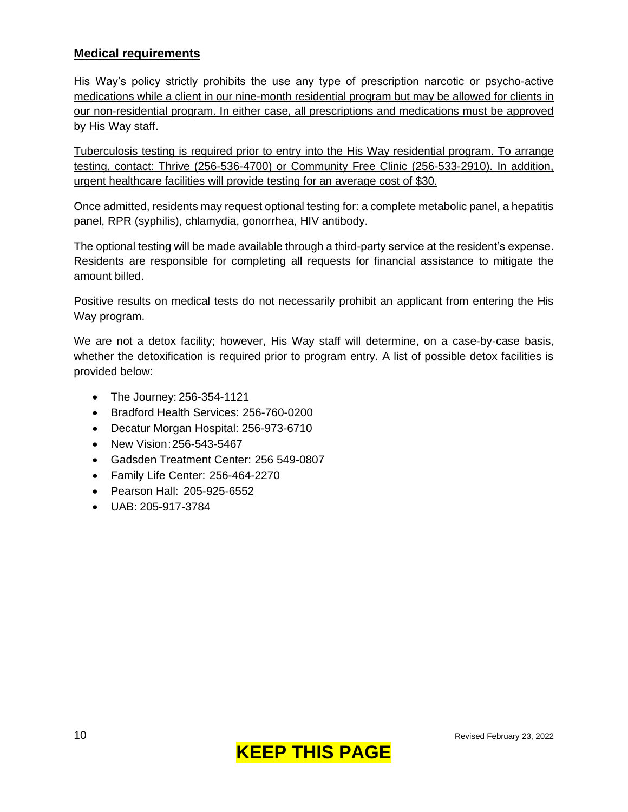## **Medical requirements**

His Way's policy strictly prohibits the use any type of prescription narcotic or psycho-active medications while a client in our nine-month residential program but may be allowed for clients in our non-residential program. In either case, all prescriptions and medications must be approved by His Way staff.

Tuberculosis testing is required prior to entry into the His Way residential program. To arrange testing, contact: Thrive (256-536-4700) or Community Free Clinic (256-533-2910). In addition, urgent healthcare facilities will provide testing for an average cost of \$30.

Once admitted, residents may request optional testing for: a complete metabolic panel, a hepatitis panel, RPR (syphilis), chlamydia, gonorrhea, HIV antibody.

The optional testing will be made available through a third-party service at the resident's expense. Residents are responsible for completing all requests for financial assistance to mitigate the amount billed.

Positive results on medical tests do not necessarily prohibit an applicant from entering the His Way program.

We are not a detox facility; however, His Way staff will determine, on a case-by-case basis, whether the detoxification is required prior to program entry. A list of possible detox facilities is provided below:

- The Journey: 256-354-1121
- Bradford Health Services: 256-760-0200
- Decatur Morgan Hospital: 256-973-6710
- New Vision:256-543-5467
- Gadsden Treatment Center: 256 549-0807
- Family Life Center: 256-464-2270
- Pearson Hall: 205-925-6552
- UAB: 205-917-3784

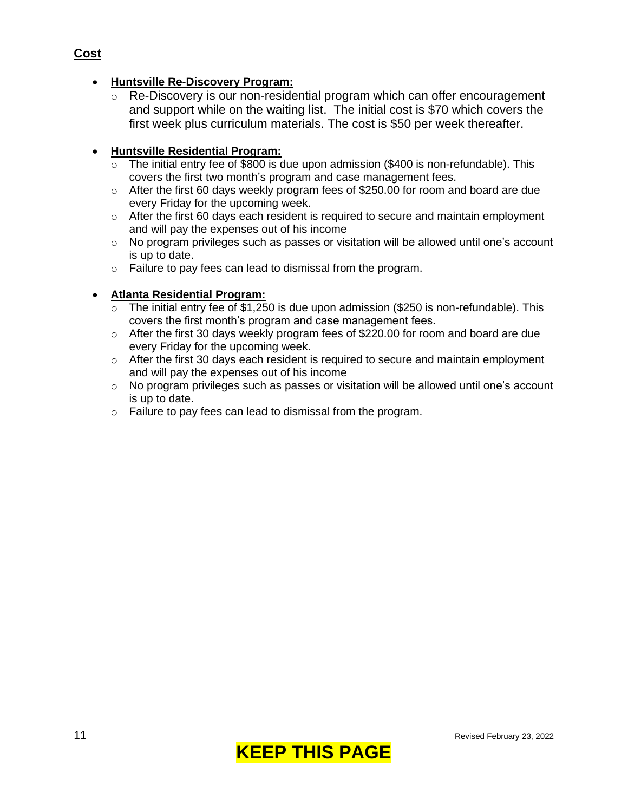## • **Huntsville Re-Discovery Program:**

o Re-Discovery is our non-residential program which can offer encouragement and support while on the waiting list. The initial cost is \$70 which covers the first week plus curriculum materials. The cost is \$50 per week thereafter.

## • **Huntsville Residential Program:**

- $\overline{\circ}$  The initial entry fee of \$800 is due upon admission (\$400 is non-refundable). This covers the first two month's program and case management fees.
- o After the first 60 days weekly program fees of \$250.00 for room and board are due every Friday for the upcoming week.
- o After the first 60 days each resident is required to secure and maintain employment and will pay the expenses out of his income
- $\circ$  No program privileges such as passes or visitation will be allowed until one's account is up to date.
- o Failure to pay fees can lead to dismissal from the program.

#### • **Atlanta Residential Program:**

- $\circ$  The initial entry fee of \$1,250 is due upon admission (\$250 is non-refundable). This covers the first month's program and case management fees.
- $\circ$  After the first 30 days weekly program fees of \$220.00 for room and board are due every Friday for the upcoming week.
- $\circ$  After the first 30 days each resident is required to secure and maintain employment and will pay the expenses out of his income
- o No program privileges such as passes or visitation will be allowed until one's account is up to date.
- o Failure to pay fees can lead to dismissal from the program.